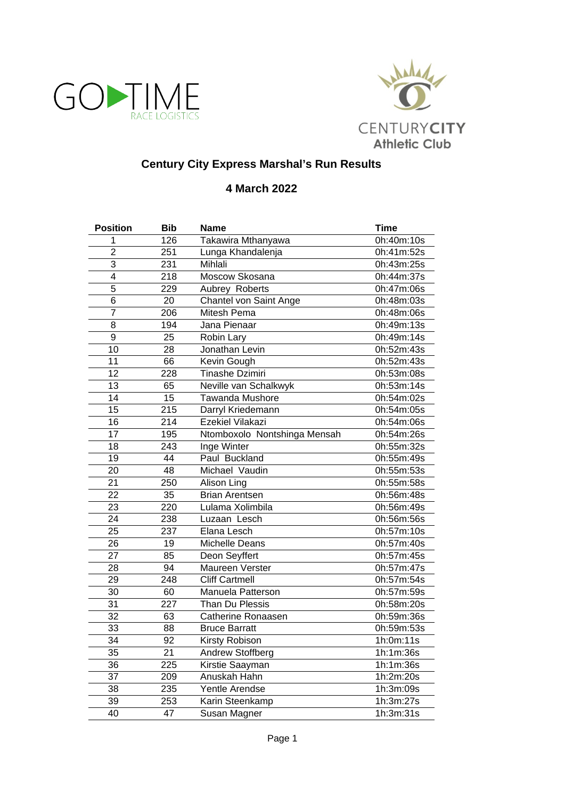



## **Century City Express Marshal's Run Results**

## **4 March 2022**

| <b>Position</b> | <b>Bib</b>       | <b>Name</b>                  | <b>Time</b> |
|-----------------|------------------|------------------------------|-------------|
| $\mathbf{1}$    | 126              | Takawira Mthanyawa           | 0h:40m:10s  |
| $\overline{c}$  | 251              | Lunga Khandalenja            | 0h:41m:52s  |
| 3               | 231              | Mihlali                      | 0h:43m:25s  |
| 4               | 218              | Moscow Skosana               | 0h:44m:37s  |
| 5               | 229              | Aubrey Roberts               | 0h:47m:06s  |
| $\overline{6}$  | 20               | Chantel von Saint Ange       | 0h:48m:03s  |
| $\overline{7}$  | 206              | Mitesh Pema                  | 0h:48m:06s  |
| 8               | 194              | Jana Pienaar                 | 0h:49m:13s  |
| 9               | 25               | Robin Lary                   | 0h:49m:14s  |
| $\overline{10}$ | $\overline{28}$  | Jonathan Levin               | 0h:52m:43s  |
| 11              | 66               | Kevin Gough                  | 0h:52m:43s  |
| 12              | 228              | Tinashe Dzimiri              | 0h:53m:08s  |
| 13              | 65               | Neville van Schalkwyk        | 0h:53m:14s  |
| 14              | 15               | <b>Tawanda Mushore</b>       | 0h:54m:02s  |
| 15              | 215              | Darryl Kriedemann            | 0h:54m:05s  |
| 16              | 214              | <b>Ezekiel Vilakazi</b>      | 0h:54m:06s  |
| 17              | 195              | Ntomboxolo Nontshinga Mensah | 0h:54m:26s  |
| 18              | 243              | Inge Winter                  | 0h:55m:32s  |
| $\overline{19}$ | 44               | Paul Buckland                | 0h:55m:49s  |
| 20              | 48               | Michael Vaudin               | 0h:55m:53s  |
| 21              | 250              | Alison Ling                  | 0h:55m:58s  |
| 22              | 35               | <b>Brian Arentsen</b>        | 0h:56m:48s  |
| 23              | 220              | Lulama Xolimbila             | 0h:56m:49s  |
| 24              | 238              | Luzaan Lesch                 | 0h:56m:56s  |
| $\overline{25}$ | 237              | Elana Lesch                  | 0h:57m:10s  |
| 26              | 19               | <b>Michelle Deans</b>        | 0h:57m:40s  |
| 27              | 85               | Deon Seyffert                | 0h:57m:45s  |
| $\overline{28}$ | 94               | Maureen Verster              | 0h:57m:47s  |
| 29              | 248              | <b>Cliff Cartmell</b>        | 0h:57m:54s  |
| 30              | 60               | Manuela Patterson            | 0h:57m:59s  |
| 31              | 227              | Than Du Plessis              | 0h:58m:20s  |
| 32              | 63               | <b>Catherine Ronaasen</b>    | 0h:59m:36s  |
| 33              | 88               | <b>Bruce Barratt</b>         | 0h:59m:53s  |
| 34              | 92               | Kirsty Robison               | 1h:0m:11s   |
| $\overline{35}$ | 21               | Andrew Stoffberg             | 1h:1m:36s   |
| $\overline{36}$ | $\overline{225}$ | Kirstie Saayman              | 1h:1m:36s   |
| $\overline{37}$ | 209              | Anuskah Hahn                 | 1h:2m:20s   |
| 38              | 235              | Yentle Arendse               | 1h:3m:09s   |
| 39              | 253              | Karin Steenkamp              | 1h:3m:27s   |
| $\overline{40}$ | $\overline{47}$  | Susan Magner                 | 1h:3m:31s   |